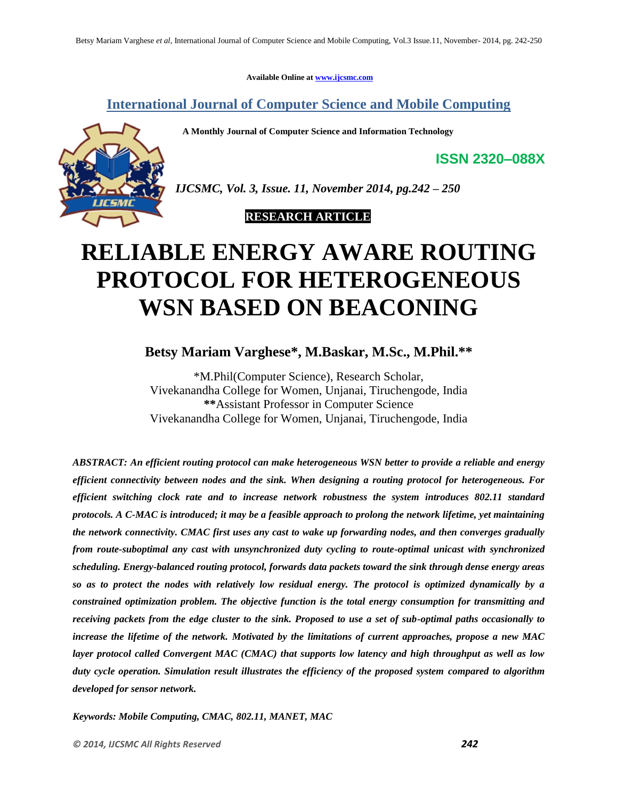**Available Online at [www.ijcsmc.com](http://www.ijcsmc.com/)**

**International Journal of Computer Science and Mobile Computing**

 **A Monthly Journal of Computer Science and Information Technology**



*IJCSMC, Vol. 3, Issue. 11, November 2014, pg.242 – 250*

 **RESEARCH ARTICLE**

# **RELIABLE ENERGY AWARE ROUTING PROTOCOL FOR HETEROGENEOUS WSN BASED ON BEACONING**

**Betsy Mariam Varghese\* , M.Baskar, M.Sc., M.Phil.\*\***

\*M.Phil(Computer Science), Research Scholar, Vivekanandha College for Women, Unjanai, Tiruchengode, India **\*\***Assistant Professor in Computer Science Vivekanandha College for Women, Unjanai, Tiruchengode, India

*ABSTRACT: An efficient routing protocol can make heterogeneous WSN better to provide a reliable and energy efficient connectivity between nodes and the sink. When designing a routing protocol for heterogeneous. For efficient switching clock rate and to increase network robustness the system introduces 802.11 standard protocols. A C-MAC is introduced; it may be a feasible approach to prolong the network lifetime, yet maintaining the network connectivity. CMAC first uses any cast to wake up forwarding nodes, and then converges gradually from route-suboptimal any cast with unsynchronized duty cycling to route-optimal unicast with synchronized scheduling. Energy-balanced routing protocol, forwards data packets toward the sink through dense energy areas so as to protect the nodes with relatively low residual energy. The protocol is optimized dynamically by a constrained optimization problem. The objective function is the total energy consumption for transmitting and receiving packets from the edge cluster to the sink. Proposed to use a set of sub-optimal paths occasionally to increase the lifetime of the network. Motivated by the limitations of current approaches, propose a new MAC layer protocol called Convergent MAC (CMAC) that supports low latency and high throughput as well as low duty cycle operation. Simulation result illustrates the efficiency of the proposed system compared to algorithm developed for sensor network.*

*Keywords: Mobile Computing, CMAC, 802.11, MANET, MAC*

**ISSN 2320–088X**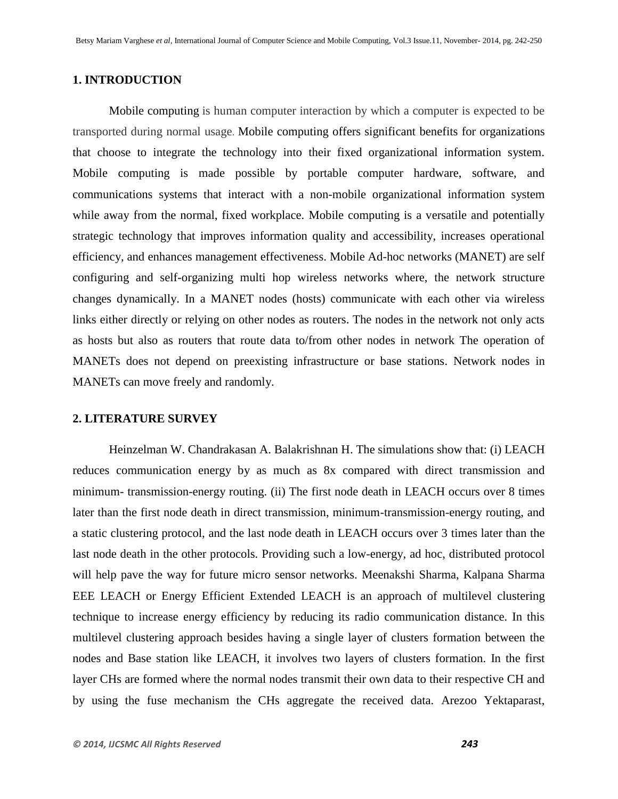# **1. INTRODUCTION**

Mobile computing is human computer interaction by which a computer is expected to be transported during normal usage. Mobile computing offers significant benefits for organizations that choose to integrate the technology into their fixed organizational information system. Mobile computing is made possible by portable computer hardware, software, and communications systems that interact with a non-mobile organizational information system while away from the normal, fixed workplace. Mobile computing is a versatile and potentially strategic technology that improves information quality and accessibility, increases operational efficiency, and enhances management effectiveness. Mobile Ad-hoc networks (MANET) are self configuring and self-organizing multi hop wireless networks where, the network structure changes dynamically. In a MANET nodes (hosts) communicate with each other via wireless links either directly or relying on other nodes as routers. The nodes in the network not only acts as hosts but also as routers that route data to/from other nodes in network The operation of MANETs does not depend on preexisting infrastructure or base stations. Network nodes in MANETs can move freely and randomly.

## **2. LITERATURE SURVEY**

Heinzelman W. Chandrakasan A. Balakrishnan H. The simulations show that: (i) LEACH reduces communication energy by as much as 8x compared with direct transmission and minimum- transmission-energy routing. (ii) The first node death in LEACH occurs over 8 times later than the first node death in direct transmission, minimum-transmission-energy routing, and a static clustering protocol, and the last node death in LEACH occurs over 3 times later than the last node death in the other protocols. Providing such a low-energy, ad hoc, distributed protocol will help pave the way for future micro sensor networks. Meenakshi Sharma, Kalpana Sharma EEE LEACH or Energy Efficient Extended LEACH is an approach of multilevel clustering technique to increase energy efficiency by reducing its radio communication distance. In this multilevel clustering approach besides having a single layer of clusters formation between the nodes and Base station like LEACH, it involves two layers of clusters formation. In the first layer CHs are formed where the normal nodes transmit their own data to their respective CH and by using the fuse mechanism the CHs aggregate the received data. Arezoo Yektaparast,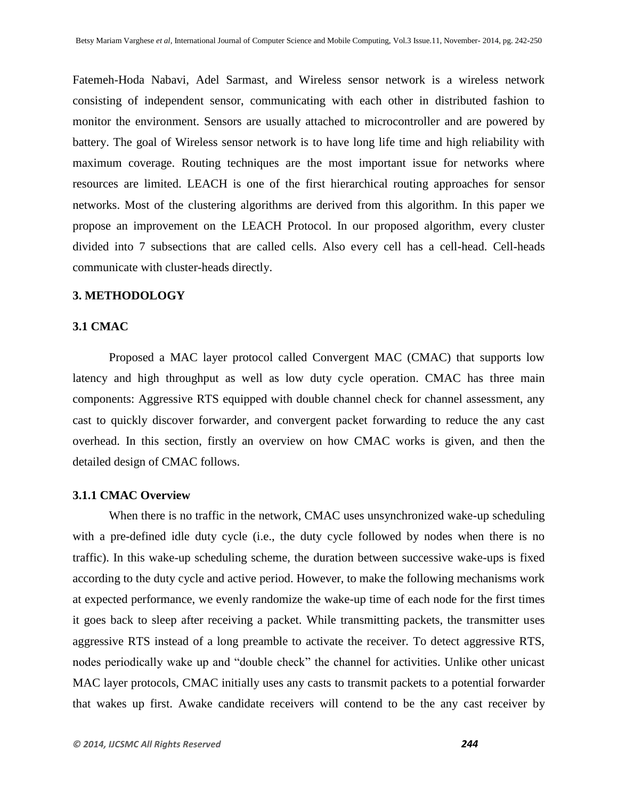Fatemeh-Hoda Nabavi, Adel Sarmast, and Wireless sensor network is a wireless network consisting of independent sensor, communicating with each other in distributed fashion to monitor the environment. Sensors are usually attached to microcontroller and are powered by battery. The goal of Wireless sensor network is to have long life time and high reliability with maximum coverage. Routing techniques are the most important issue for networks where resources are limited. LEACH is one of the first hierarchical routing approaches for sensor networks. Most of the clustering algorithms are derived from this algorithm. In this paper we propose an improvement on the LEACH Protocol. In our proposed algorithm, every cluster divided into 7 subsections that are called cells. Also every cell has a cell-head. Cell-heads communicate with cluster-heads directly.

#### **3. METHODOLOGY**

## **3.1 CMAC**

Proposed a MAC layer protocol called Convergent MAC (CMAC) that supports low latency and high throughput as well as low duty cycle operation. CMAC has three main components: Aggressive RTS equipped with double channel check for channel assessment, any cast to quickly discover forwarder, and convergent packet forwarding to reduce the any cast overhead. In this section, firstly an overview on how CMAC works is given, and then the detailed design of CMAC follows.

# **3.1.1 CMAC Overview**

When there is no traffic in the network, CMAC uses unsynchronized wake-up scheduling with a pre-defined idle duty cycle (i.e., the duty cycle followed by nodes when there is no traffic). In this wake-up scheduling scheme, the duration between successive wake-ups is fixed according to the duty cycle and active period. However, to make the following mechanisms work at expected performance, we evenly randomize the wake-up time of each node for the first times it goes back to sleep after receiving a packet. While transmitting packets, the transmitter uses aggressive RTS instead of a long preamble to activate the receiver. To detect aggressive RTS, nodes periodically wake up and "double check" the channel for activities. Unlike other unicast MAC layer protocols, CMAC initially uses any casts to transmit packets to a potential forwarder that wakes up first. Awake candidate receivers will contend to be the any cast receiver by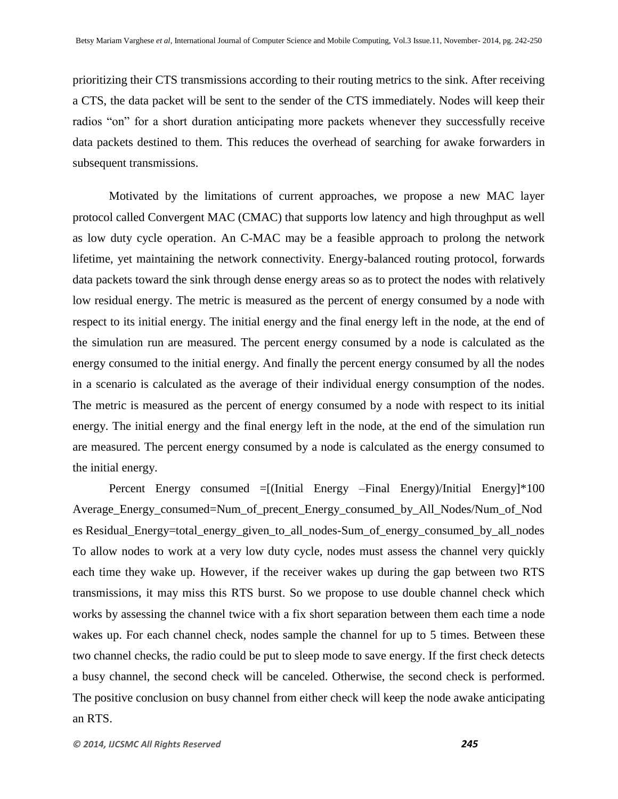prioritizing their CTS transmissions according to their routing metrics to the sink. After receiving a CTS, the data packet will be sent to the sender of the CTS immediately. Nodes will keep their radios "on" for a short duration anticipating more packets whenever they successfully receive data packets destined to them. This reduces the overhead of searching for awake forwarders in subsequent transmissions.

Motivated by the limitations of current approaches, we propose a new MAC layer protocol called Convergent MAC (CMAC) that supports low latency and high throughput as well as low duty cycle operation. An C-MAC may be a feasible approach to prolong the network lifetime, yet maintaining the network connectivity. Energy-balanced routing protocol, forwards data packets toward the sink through dense energy areas so as to protect the nodes with relatively low residual energy. The metric is measured as the percent of energy consumed by a node with respect to its initial energy. The initial energy and the final energy left in the node, at the end of the simulation run are measured. The percent energy consumed by a node is calculated as the energy consumed to the initial energy. And finally the percent energy consumed by all the nodes in a scenario is calculated as the average of their individual energy consumption of the nodes. The metric is measured as the percent of energy consumed by a node with respect to its initial energy. The initial energy and the final energy left in the node, at the end of the simulation run are measured. The percent energy consumed by a node is calculated as the energy consumed to the initial energy.

Percent Energy consumed =[(Initial Energy –Final Energy)/Initial Energy]\*100 Average\_Energy\_consumed=Num\_of\_precent\_Energy\_consumed\_by\_All\_Nodes/Num\_of\_Nod es Residual\_Energy=total\_energy\_given\_to\_all\_nodes-Sum\_of\_energy\_consumed\_by\_all\_nodes To allow nodes to work at a very low duty cycle, nodes must assess the channel very quickly each time they wake up. However, if the receiver wakes up during the gap between two RTS transmissions, it may miss this RTS burst. So we propose to use double channel check which works by assessing the channel twice with a fix short separation between them each time a node wakes up. For each channel check, nodes sample the channel for up to 5 times. Between these two channel checks, the radio could be put to sleep mode to save energy. If the first check detects a busy channel, the second check will be canceled. Otherwise, the second check is performed. The positive conclusion on busy channel from either check will keep the node awake anticipating an RTS.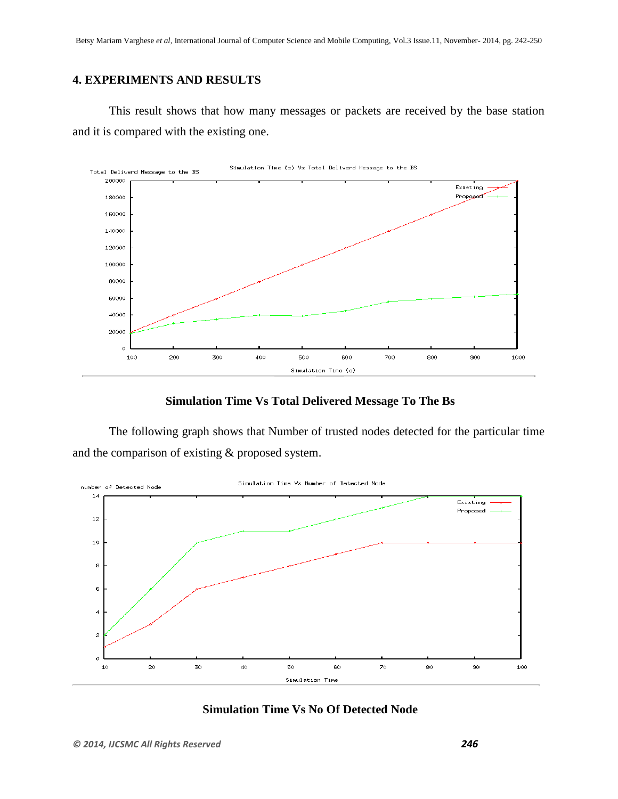# **4. EXPERIMENTS AND RESULTS**

This result shows that how many messages or packets are received by the base station and it is compared with the existing one.



**Simulation Time Vs Total Delivered Message To The Bs**

The following graph shows that Number of trusted nodes detected for the particular time and the comparison of existing & proposed system.



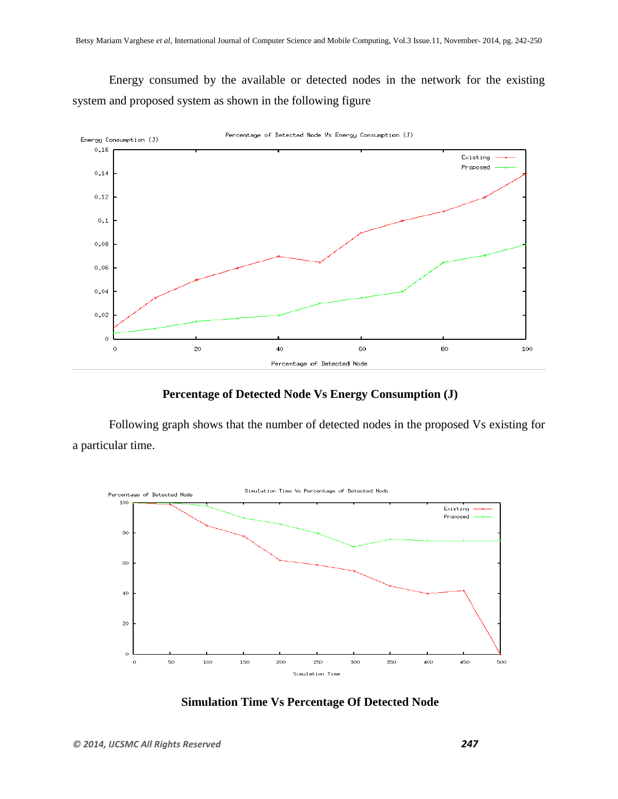Energy consumed by the available or detected nodes in the network for the existing system and proposed system as shown in the following figure



## **Percentage of Detected Node Vs Energy Consumption (J)**

Following graph shows that the number of detected nodes in the proposed Vs existing for a particular time.



## **Simulation Time Vs Percentage Of Detected Node**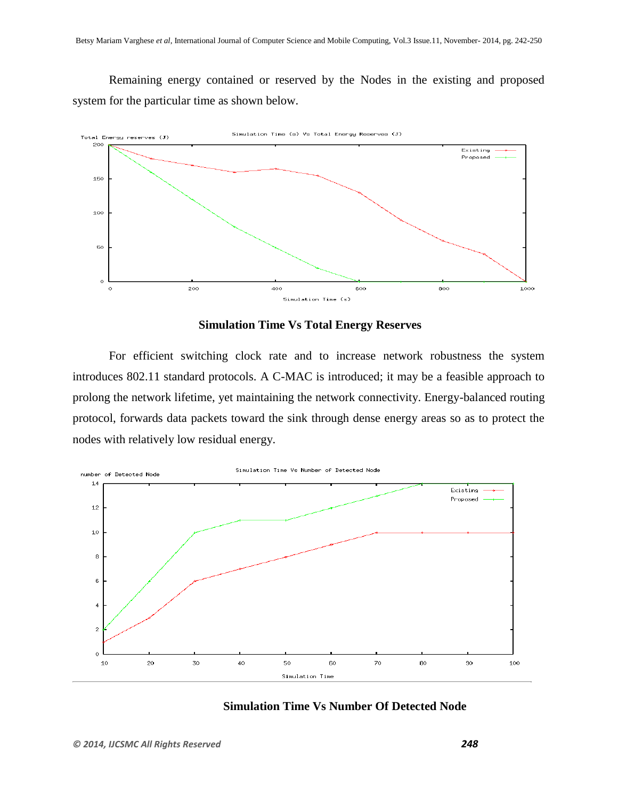Remaining energy contained or reserved by the Nodes in the existing and proposed system for the particular time as shown below.



## **Simulation Time Vs Total Energy Reserves**

For efficient switching clock rate and to increase network robustness the system introduces 802.11 standard protocols. A C-MAC is introduced; it may be a feasible approach to prolong the network lifetime, yet maintaining the network connectivity. Energy-balanced routing protocol, forwards data packets toward the sink through dense energy areas so as to protect the nodes with relatively low residual energy.



# **Simulation Time Vs Number Of Detected Node**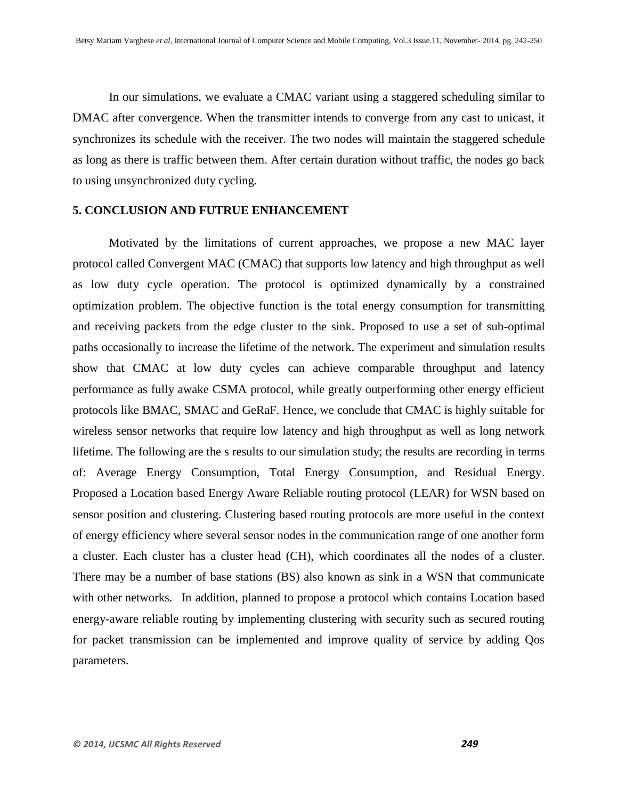In our simulations, we evaluate a CMAC variant using a staggered scheduling similar to DMAC after convergence. When the transmitter intends to converge from any cast to unicast, it synchronizes its schedule with the receiver. The two nodes will maintain the staggered schedule as long as there is traffic between them. After certain duration without traffic, the nodes go back to using unsynchronized duty cycling.

#### **5. CONCLUSION AND FUTRUE ENHANCEMENT**

Motivated by the limitations of current approaches, we propose a new MAC layer protocol called Convergent MAC (CMAC) that supports low latency and high throughput as well as low duty cycle operation. The protocol is optimized dynamically by a constrained optimization problem. The objective function is the total energy consumption for transmitting and receiving packets from the edge cluster to the sink. Proposed to use a set of sub-optimal paths occasionally to increase the lifetime of the network. The experiment and simulation results show that CMAC at low duty cycles can achieve comparable throughput and latency performance as fully awake CSMA protocol, while greatly outperforming other energy efficient protocols like BMAC, SMAC and GeRaF. Hence, we conclude that CMAC is highly suitable for wireless sensor networks that require low latency and high throughput as well as long network lifetime. The following are the s results to our simulation study; the results are recording in terms of: Average Energy Consumption, Total Energy Consumption, and Residual Energy. Proposed a Location based Energy Aware Reliable routing protocol (LEAR) for WSN based on sensor position and clustering. Clustering based routing protocols are more useful in the context of energy efficiency where several sensor nodes in the communication range of one another form a cluster. Each cluster has a cluster head (CH), which coordinates all the nodes of a cluster. There may be a number of base stations (BS) also known as sink in a WSN that communicate with other networks. In addition, planned to propose a protocol which contains Location based energy-aware reliable routing by implementing clustering with security such as secured routing for packet transmission can be implemented and improve quality of service by adding Qos parameters.